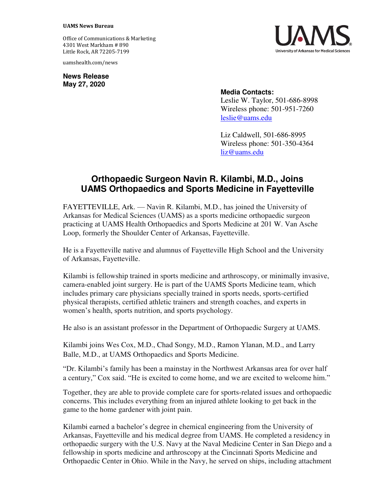## **UAMS News Bureau**

Office of Communications & Marketing 4301 West Markham # 890 Little Rock, AR 72205-7199

uamshealth.com/news

**News Release May 27, 2020**



## **Media Contacts:**

Leslie W. Taylor, 501-686-8998 Wireless phone: 501-951-7260 [leslie@uams.edu](mailto:leslie@uams.edu)

Liz Caldwell, 501-686-8995 Wireless phone: 501-350-4364 [liz@uams.edu](mailto:liz@uams.edu)

## **Orthopaedic Surgeon Navin R. Kilambi, M.D., Joins UAMS Orthopaedics and Sports Medicine in Fayetteville**

FAYETTEVILLE, Ark. — Navin R. Kilambi, M.D., has joined the University of Arkansas for Medical Sciences (UAMS) as a sports medicine orthopaedic surgeon practicing at UAMS Health Orthopaedics and Sports Medicine at 201 W. Van Asche Loop, formerly the Shoulder Center of Arkansas, Fayetteville.

He is a Fayetteville native and alumnus of Fayetteville High School and the University of Arkansas, Fayetteville.

Kilambi is fellowship trained in sports medicine and arthroscopy, or minimally invasive, camera-enabled joint surgery. He is part of the UAMS Sports Medicine team, which includes primary care physicians specially trained in sports needs, sports-certified physical therapists, certified athletic trainers and strength coaches, and experts in women's health, sports nutrition, and sports psychology.

He also is an assistant professor in the Department of Orthopaedic Surgery at UAMS.

Kilambi joins Wes Cox, M.D., Chad Songy, M.D., Ramon Ylanan, M.D., and Larry Balle, M.D., at UAMS Orthopaedics and Sports Medicine.

"Dr. Kilambi's family has been a mainstay in the Northwest Arkansas area for over half a century," Cox said. "He is excited to come home, and we are excited to welcome him."

Together, they are able to provide complete care for sports-related issues and orthopaedic concerns. This includes everything from an injured athlete looking to get back in the game to the home gardener with joint pain.

Kilambi earned a bachelor's degree in chemical engineering from the University of Arkansas, Fayetteville and his medical degree from UAMS. He completed a residency in orthopaedic surgery with the U.S. Navy at the Naval Medicine Center in San Diego and a fellowship in sports medicine and arthroscopy at the Cincinnati Sports Medicine and Orthopaedic Center in Ohio. While in the Navy, he served on ships, including attachment